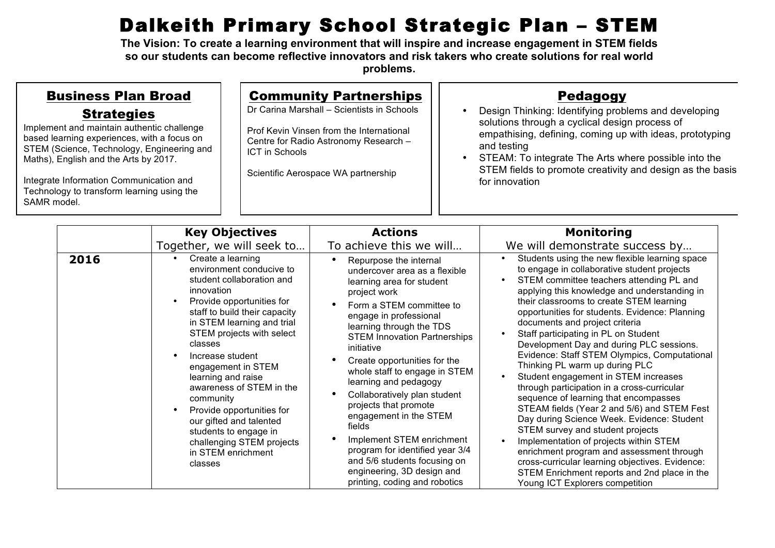## Dalkeith Primary School Strategic Plan – STEM

**The Vision: To create a learning environment that will inspire and increase engagement in STEM fields so our students can become reflective innovators and risk takers who create solutions for real world problems.** 

| <b>Business Plan Broad</b><br><b>Strategies</b><br>Implement and maintain authentic challenge<br>based learning experiences, with a focus on<br>STEM (Science, Technology, Engineering and<br>Maths), English and the Arts by 2017.<br>Integrate Information Communication and<br>Technology to transform learning using the<br>SAMR model. |                                                    |                   | <b>Community Partnerships</b><br>Dr Carina Marshall - Scientists in Schools<br>Prof Kevin Vinsen from the International<br>Centre for Radio Astronomy Research -<br><b>ICT in Schools</b><br>Scientific Aerospace WA partnership |                                           | <b>Pedagogy</b><br>Design Thinking: Identifying problems and developing<br>solutions through a cyclical design process of<br>empathising, defining, coming up with ideas, prototyping<br>and testing<br>STEAM: To integrate The Arts where possible into the<br>$\bullet$<br>STEM fields to promote creativity and design as the basis<br>for innovation |                                                     |
|---------------------------------------------------------------------------------------------------------------------------------------------------------------------------------------------------------------------------------------------------------------------------------------------------------------------------------------------|----------------------------------------------------|-------------------|----------------------------------------------------------------------------------------------------------------------------------------------------------------------------------------------------------------------------------|-------------------------------------------|----------------------------------------------------------------------------------------------------------------------------------------------------------------------------------------------------------------------------------------------------------------------------------------------------------------------------------------------------------|-----------------------------------------------------|
|                                                                                                                                                                                                                                                                                                                                             | <b>Key Objectives</b><br>Together, we will seek to |                   |                                                                                                                                                                                                                                  | <b>Actions</b><br>To achieve this we will |                                                                                                                                                                                                                                                                                                                                                          | <b>Monitoring</b><br>We will demonstrate success by |
| 2016                                                                                                                                                                                                                                                                                                                                        |                                                    | Create a learning |                                                                                                                                                                                                                                  | Donumono the internal                     |                                                                                                                                                                                                                                                                                                                                                          | Students using the new flexible learning space      |

|      | KY ARICCHACS                                                                                                                                                                                                                                                                                                                                                                                                                                                                         | ленонэ                                                                                                                                                                                                                                                                                                                                                                                                                                                                                                                                                                                                         | monitoring                                                                                                                                                                                                                                                                                                                                                                                                                                                                                                                                                                                                                                                                                                                                                                                                                                                                                                                                                                                    |
|------|--------------------------------------------------------------------------------------------------------------------------------------------------------------------------------------------------------------------------------------------------------------------------------------------------------------------------------------------------------------------------------------------------------------------------------------------------------------------------------------|----------------------------------------------------------------------------------------------------------------------------------------------------------------------------------------------------------------------------------------------------------------------------------------------------------------------------------------------------------------------------------------------------------------------------------------------------------------------------------------------------------------------------------------------------------------------------------------------------------------|-----------------------------------------------------------------------------------------------------------------------------------------------------------------------------------------------------------------------------------------------------------------------------------------------------------------------------------------------------------------------------------------------------------------------------------------------------------------------------------------------------------------------------------------------------------------------------------------------------------------------------------------------------------------------------------------------------------------------------------------------------------------------------------------------------------------------------------------------------------------------------------------------------------------------------------------------------------------------------------------------|
|      | Together, we will seek to                                                                                                                                                                                                                                                                                                                                                                                                                                                            | To achieve this we will                                                                                                                                                                                                                                                                                                                                                                                                                                                                                                                                                                                        | We will demonstrate success by                                                                                                                                                                                                                                                                                                                                                                                                                                                                                                                                                                                                                                                                                                                                                                                                                                                                                                                                                                |
| 2016 | Create a learning<br>environment conducive to<br>student collaboration and<br>innovation<br>Provide opportunities for<br>staff to build their capacity<br>in STEM learning and trial<br>STEM projects with select<br>classes<br>Increase student<br>engagement in STEM<br>learning and raise<br>awareness of STEM in the<br>community<br>Provide opportunities for<br>our gifted and talented<br>students to engage in<br>challenging STEM projects<br>in STEM enrichment<br>classes | Repurpose the internal<br>$\bullet$<br>undercover area as a flexible<br>learning area for student<br>project work<br>Form a STEM committee to<br>engage in professional<br>learning through the TDS<br><b>STEM Innovation Partnerships</b><br>initiative<br>Create opportunities for the<br>whole staff to engage in STEM<br>learning and pedagogy<br>Collaboratively plan student<br>projects that promote<br>engagement in the STEM<br>fields<br>Implement STEM enrichment<br>program for identified year 3/4<br>and 5/6 students focusing on<br>engineering, 3D design and<br>printing, coding and robotics | Students using the new flexible learning space<br>to engage in collaborative student projects<br>STEM committee teachers attending PL and<br>applying this knowledge and understanding in<br>their classrooms to create STEM learning<br>opportunities for students. Evidence: Planning<br>documents and project criteria<br>Staff participating in PL on Student<br>Development Day and during PLC sessions.<br>Evidence: Staff STEM Olympics, Computational<br>Thinking PL warm up during PLC<br>Student engagement in STEM increases<br>through participation in a cross-curricular<br>sequence of learning that encompasses<br>STEAM fields (Year 2 and 5/6) and STEM Fest<br>Day during Science Week. Evidence: Student<br>STEM survey and student projects<br>Implementation of projects within STEM<br>enrichment program and assessment through<br>cross-curricular learning objectives. Evidence:<br>STEM Enrichment reports and 2nd place in the<br>Young ICT Explorers competition |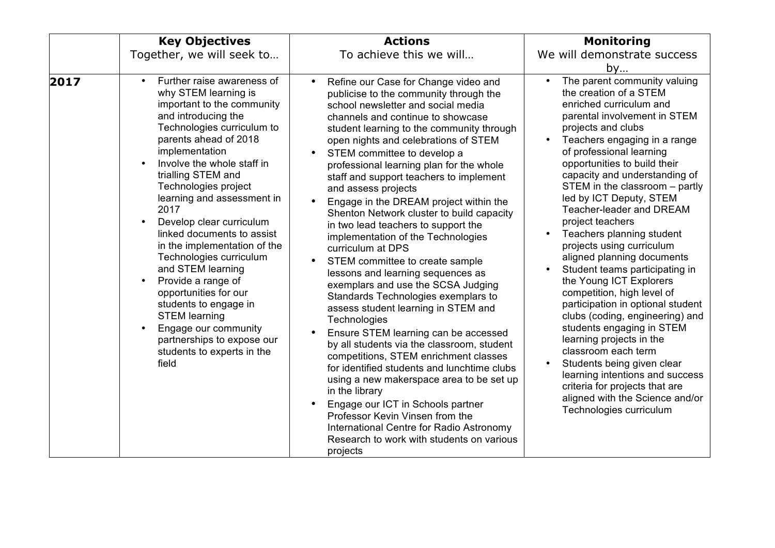|      | <b>Key Objectives</b>                                                                                                                                                                                                                                                                                                                                                                                                                                                                                                                                                                                                                                               | <b>Actions</b>                                                                                                                                                                                                                                                                                                                                                                                                                                                                                                                                                                                                                                                                                                                                                                                                                                                                                                                                                                                                                                                                                                                                                                                                                         | <b>Monitoring</b>                                                                                                                                                                                                                                                                                                                                                                                                                                                                                                                                                                                                                                                                                                                                                                                                                                                                                          |
|------|---------------------------------------------------------------------------------------------------------------------------------------------------------------------------------------------------------------------------------------------------------------------------------------------------------------------------------------------------------------------------------------------------------------------------------------------------------------------------------------------------------------------------------------------------------------------------------------------------------------------------------------------------------------------|----------------------------------------------------------------------------------------------------------------------------------------------------------------------------------------------------------------------------------------------------------------------------------------------------------------------------------------------------------------------------------------------------------------------------------------------------------------------------------------------------------------------------------------------------------------------------------------------------------------------------------------------------------------------------------------------------------------------------------------------------------------------------------------------------------------------------------------------------------------------------------------------------------------------------------------------------------------------------------------------------------------------------------------------------------------------------------------------------------------------------------------------------------------------------------------------------------------------------------------|------------------------------------------------------------------------------------------------------------------------------------------------------------------------------------------------------------------------------------------------------------------------------------------------------------------------------------------------------------------------------------------------------------------------------------------------------------------------------------------------------------------------------------------------------------------------------------------------------------------------------------------------------------------------------------------------------------------------------------------------------------------------------------------------------------------------------------------------------------------------------------------------------------|
|      | Together, we will seek to                                                                                                                                                                                                                                                                                                                                                                                                                                                                                                                                                                                                                                           | To achieve this we will                                                                                                                                                                                                                                                                                                                                                                                                                                                                                                                                                                                                                                                                                                                                                                                                                                                                                                                                                                                                                                                                                                                                                                                                                | We will demonstrate success<br>by                                                                                                                                                                                                                                                                                                                                                                                                                                                                                                                                                                                                                                                                                                                                                                                                                                                                          |
| 2017 | Further raise awareness of<br>$\bullet$<br>why STEM learning is<br>important to the community<br>and introducing the<br>Technologies curriculum to<br>parents ahead of 2018<br>implementation<br>Involve the whole staff in<br>trialling STEM and<br>Technologies project<br>learning and assessment in<br>2017<br>Develop clear curriculum<br>linked documents to assist<br>in the implementation of the<br>Technologies curriculum<br>and STEM learning<br>Provide a range of<br>$\bullet$<br>opportunities for our<br>students to engage in<br><b>STEM learning</b><br>Engage our community<br>partnerships to expose our<br>students to experts in the<br>field | Refine our Case for Change video and<br>$\bullet$<br>publicise to the community through the<br>school newsletter and social media<br>channels and continue to showcase<br>student learning to the community through<br>open nights and celebrations of STEM<br>STEM committee to develop a<br>professional learning plan for the whole<br>staff and support teachers to implement<br>and assess projects<br>Engage in the DREAM project within the<br>Shenton Network cluster to build capacity<br>in two lead teachers to support the<br>implementation of the Technologies<br>curriculum at DPS<br>STEM committee to create sample<br>lessons and learning sequences as<br>exemplars and use the SCSA Judging<br>Standards Technologies exemplars to<br>assess student learning in STEM and<br>Technologies<br>Ensure STEM learning can be accessed<br>by all students via the classroom, student<br>competitions, STEM enrichment classes<br>for identified students and lunchtime clubs<br>using a new makerspace area to be set up<br>in the library<br>Engage our ICT in Schools partner<br>Professor Kevin Vinsen from the<br>International Centre for Radio Astronomy<br>Research to work with students on various<br>projects | The parent community valuing<br>$\bullet$<br>the creation of a STEM<br>enriched curriculum and<br>parental involvement in STEM<br>projects and clubs<br>Teachers engaging in a range<br>of professional learning<br>opportunities to build their<br>capacity and understanding of<br>STEM in the classroom - partly<br>led by ICT Deputy, STEM<br>Teacher-leader and DREAM<br>project teachers<br>Teachers planning student<br>projects using curriculum<br>aligned planning documents<br>Student teams participating in<br>the Young ICT Explorers<br>competition, high level of<br>participation in optional student<br>clubs (coding, engineering) and<br>students engaging in STEM<br>learning projects in the<br>classroom each term<br>Students being given clear<br>learning intentions and success<br>criteria for projects that are<br>aligned with the Science and/or<br>Technologies curriculum |